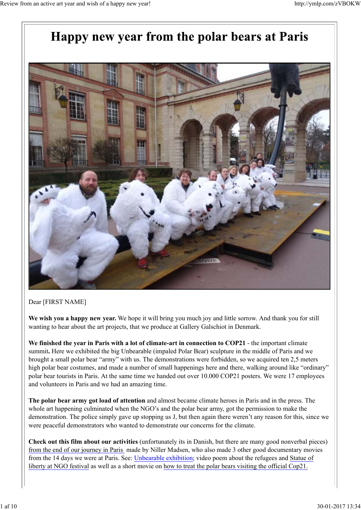# Happy new year from the polar bears at Paris



Dear [FIRST NAME]

**We wish you a happy new year.** We hope it will bring you much joy and little sorrow. And thank you for still wanting to hear about the art projects, that we produce at Gallery Galschiot in Denmark.

**We finished the year in Paris with a lot of climate-art in connection to COP21** - the important climate summit**.** Here we exhibited the big Unbearable (impaled Polar Bear) sculpture in the middle of Paris and we brought a small polar bear "army" with us. The demonstrations were forbidden, so we acquired ten 2,5 meters high polar bear costumes, and made a number of small happenings here and there, walking around like "ordinary" polar bear tourists in Paris. At the same time we handed out over 10.000 COP21 posters. We were 17 employees and volunteers in Paris and we had an amazing time.

**The polar bear army got load of attention** and almost became climate heroes in Paris and in the press. The whole art happening culminated when the NGO's and the polar bear army, got the permission to make the demonstration. The police simply gave up stopping us J, but then again there weren't any reason for this, since we were peaceful demonstrators who wanted to demonstrate our concerns for the climate.

**Check out this film about our activities** (unfortunately its in Danish, but there are many good nonverbal pieces) from the end of our journey in Paris made by Niller Madsen, who also made 3 other good documentary movies from the 14 days we were at Paris. See: Unbearable exhibition; video poem about the refugees and Statue of liberty at NGO festival as well as a short movie on how to treat the polar bears visiting the official Cop21.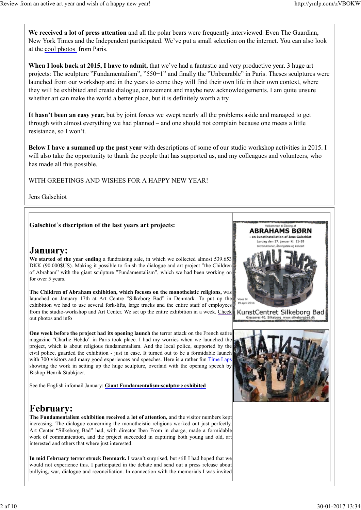**We received a lot of press attention** and all the polar bears were frequently interviewed. Even The Guardian, New York Times and the Independent participated. We've put a small selection on the internet. You can also look at the cool photos from Paris.

**When I look back at 2015, I have to admit,** that we've had a fantastic and very productive year. 3 huge art projects: The sculpture "Fundamentalism", "550+1" and finally the "Unbearable" in Paris. Theses sculptures were launched from our workshop and in the years to come they will find their own life in their own context, where they will be exhibited and create dialogue, amazement and maybe new acknowledgements. I am quite unsure whether art can make the world a better place, but it is definitely worth a try.

**It hasn't been an easy year,** but by joint forces we swept nearly all the problems aside and managed to get through with almost everything we had planned – and one should not complain because one meets a little resistance, so I won't.

**Below I have a summed up the past year** with descriptions of some of our studio workshop activities in 2015. I will also take the opportunity to thank the people that has supported us, and my colleagues and volunteers, who has made all this possible.

WITH GREETINGS AND WISHES FOR A HAPPY NEW YEAR!

Jens Galschiot

#### **Galschiot´s discription of the last years art projects:**

### January:

**We started of the year ending** a fundraising sale, in which we collected almost 539.653 DKK (90.000\$US). Making it possible to finish the dialogue and art project "the Children of Abraham" with the giant sculpture "Fundamentalism", which we had been working on for over 5 years.

**The Children of Abraham exhibition, which focuses on the monotheistic religions,** was launched on January 17th at Art Centre "Silkeborg Bad" in Denmark. To put up the exhibition we had to use several fork-lifts, large trucks and the entire staff of employees from the studio-workshop and Art Center. We set up the entire exhibition in a week. Check out photos and info

**One week before the project had its opening launch** the terror attack on the French satire magazine "Charlie Hebdo" in Paris took place. I had my worries when we launched the project, which is about religious fundamentalism. And the local police, supported by the civil police, guarded the exhibition - just in case. It turned out to be a formidable launch with 700 visitors and many good experiences and speeches. Here is a rather fun Time Laps showing the work in setting up the huge sculpture, overlaid with the opening speech by Bishop Henrik Stubkjaer.

See the English infomail January: **Giant Fundamentalism-sculpture exhibited**

### **February:**

**The Fundamentalism exhibition received a lot of attention,** and the visitor numbers kept increasing. The dialogue concerning the monotheistic religions worked out just perfectly. Art Center "Silkeborg Bad" had, with director Iben From in charge, made a formidable work of communication, and the project succeeded in capturing both young and old, art interested and others that where just interested.

**In mid February terror struck Denmark.** I wasn't surprised, but still I had hoped that we would not experience this. I participated in the debate and send out a press release about bullying, war, dialogue and reconciliation. In connection with the memorials I was invited

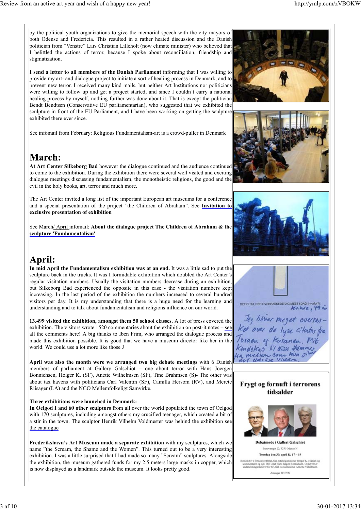by the political youth organizations to give the memorial speech with the city mayors of both Odense and Fredericia. This resulted in a rather heated discussion and the Danish politician from "Venstre" Lars Christian Lilleholt (now climate minister) who believed that I belittled the actions of terror, because I spoke about reconciliation, friendship and stigmatization.

**I send a letter to all members of the Danish Parliament** informing that I was willing to provide my art- and dialogue project to initiate a sort of healing process in Denmark, and to prevent new terror. I received many kind mails, but neither Art Institutions nor politicians were willing to follow up and get a project started, and since I couldn't carry a national healing process by myself, nothing further was done about it. That is except the politician Bendt Bendtsen (Conservative EU parliamentarian), who suggested that we exhibited the sculpture in front of the EU Parliament, and I have been working on getting the sculpture exhibited there ever since.

See infomail from February: Religious Fundamentalism-art is a crowd-puller in Denmark

## March:

**At Art Center Silkeborg Bad** however the dialogue continued and the audience continued to come to the exhibition. During the exhibition there were several well visited and exciting dialogue meetings discussing fundamentalism, the monotheistic religions, the good and the evil in the holy books, art, terror and much more.

The Art Center invited a long list of the important European art museums for a conference and a special presentation of the project "the Children of Abraham". See **Invitation to exclusive presentation of exhibition**

See March/ April infomail: **About the dialogue project The Children of Abraham & the sculpture 'Fundamentalism'**

## April:

**In mid April the Fundamentalism exhibition was at an end.** It was a little sad to put the sculpture back in the trucks. It was I formidable exhibition which doubled the Art Center's regular visitation numbers. Usually the visitation numbers decrease during an exhibition, but Silkeborg Bad experienced the opposite in this case - the visitation numbers kept increasing. In the last period of the exhibition the numbers increased to several hundred visitors per day. It is my understanding that there is a huge need for the learning and understanding and to talk about fundamentalism and religions influence on our world.

**13.499 visited the exhibition, amongst them 50 school classes.** A lot of press covered the exhibition. The visitors wrote 1520 commentaries about the exhibition on post-it notes – see all the comments here! A big thanks to Iben Frim, who arranged the dialogue process and made this exhibition possible. It is good that we have a museum director like her in the world. We could use a lot more like those J

**April was also the month were we arranged two big debate meetings** with 6 Danish members of parliament at Gallery Galschiot – one about terror with Hans Joergen Bonnichsen, Holger K. (SF), Anette Wilhelmsen (SF), Tine Brahmsen (S)- The other was about tax havens with politicians Carl Valentin (SF), Camilla Hersom (RV), and Merete Riisager (LA) and the NGO Mellemfolkeligt Samvirke.

#### **Three exhibitions were launched in Denmark:**

**In Oelgod I and 60 other sculptors** from all over the world populated the town of Oelgod with 170 sculptures, including amongst others my crucified teenager, which created a bit of a stir in the town. The sculptor Henrik Vilhelm Voldmester was behind the exhibition see the catalogue

**Frederikshavn's Art Museum made a separate exhibition** with my sculptures, which we name "the Scream, the Shame and the Women". This turned out to be a very interesting exhibition. I was a little surprised that I had made so many "Scream"-sculptures. Alongside the exhibition, the museum gathered funds for my 2.5 meters large masks in copper, which is now displayed as a landmark outside the museum. It looks pretty good.









#### Frygt og fornuft i terrorens tidsalder



**Debatmøde i Galleri Galschiøt** nget 22, 5270 Odense N Torsdag den 30. april kl, 17 - 19 forsvarsordfører, tidl. udenrigsminis<br>or og tidl. PET-chef Hans Jørgen B.<br>nasordfører for SF. tidl. socialminist Arranger SF FYN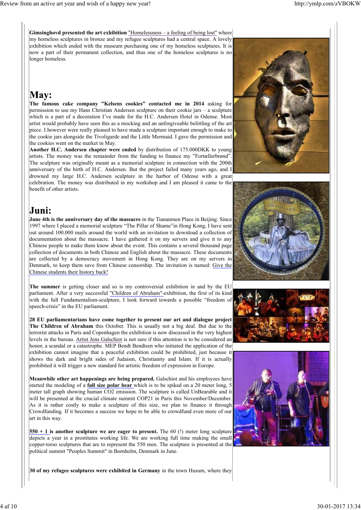**Gimsinghovd presented the art exhibition** "Homelessness – a feeling of being lost" where my homeless sculptures in bronze and my refugee sculptures had a central space. A lovely exhibition which ended with the museum purchasing one of my homeless sculptures. It is now a part of their permanent collection, and thus one of the homeless sculptures is no longer homeless.

# **May:**

**The famous cake company "Kelsens cookies" contacted me in 2014** asking for permission to use my Hans Christian Andersen sculpture on their cookie jars – a sculpture which is a part of a decoration I've made for the H.C. Andersen Hotel in Odense. Most artist would probably have seen this as a mocking and an unforgiveable belittling of the art piece. I however were really pleased to have made a sculpture important enough to make to the cookie jars alongside the Tivoligarde and the Little Mermaid. I gave the permission and the cookies went on the market in May.

**Another H.C. Andersen chapter were ended** by distribution of 175.000DKK to young artists. The money was the remainder from the funding to finance my "Fortællerbrønd". The sculpture was originally meant as a memorial sculpture in connection with the 200th anniversary of the birth of H.C. Andersen. But the project failed many years ago, and I drowned my large H.C. Andersen sculpture in the harbor of Odense with a great celebration. The money was distributed in my workshop and I am pleased it came to the benefit of other artists.







**June 4th is the anniversary day of the massacre** in the Tiananmen Place in Beijing. Since 1997 where I placed a memorial sculpture "The Pillar of Shame"in Hong Kong, I have sent out around 100.000 mails around the world with an invitation to download a collection of documentation about the massacre. I have gathered it on my servers and give it to any Chinese people to make them know about the event. This contains a several thousand page collection of documents in both Chinese and English about the massacre. These documents are collected by a democracy movement in Hong Kong. They are on my servers in Denmark, to keep them save from Chinese censorship. The invitation is named: Give the Chinese students their history back!

**The summer** is getting closer and so is my controversial exhibition in and by the EU parliament. After a very successful "Children of Abraham"-exhibition, the first of its kind with the full Fundamentalism-sculpture, I look forward towards a possible "freedom of speech-crisis" in the EU parliament.

**28 EU parliamentarians have come together to present our art and dialogue project The Children of Abraham** this October. This is usually not a big deal. But due to the terrorist attacks in Paris and Copenhagen the exhibition is now discussed in the very highest levels in the bureau. Artist Jens Galschiot is not sure if this attention is to be considered an honor, a scandal or a catastrophe. MEP Bendt Bendtsen who initiated the application of the exhibition cannot imagine that a peaceful exhibition could be prohibited, just because it shows the dark and bright sides of Judaism, Christianity and Islam. If it is actually prohibited it will trigger a new standard for artistic freedom of expression in Europe.

**Meanwhile other art happenings are being prepared.** Galschiot and his employees have started the modeling of a **full size polar bear** which is to be spiked on a 20 meter long, 5 meter tall graph showing human CO2 emission. The sculpture is called UnBearable and it will be presented at the crucial climate summit COP21 in Paris this November/December. As it is rather costly to make a sculpture of this size, we plan to finance it through Crowdfunding. If it becomes a success we hope to be able to crowdfund even more of our art in this way.

**550 + 1 is another sculpture we are eager to present.** The 60 (!) meter long sculpture depicts a year in a prostitutes working life. We are working full time making the small copper-torso sculptures that are to represent the 550 men. The sculpture is presented at the political summit "Peoples Summit" in Bornholm, Denmark in June.





**30 of my refugee sculptures were exhibited in Germany** in the town Husum, where they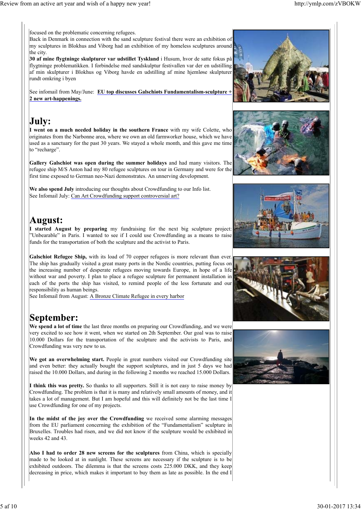focused on the problematic concerning refugees.

Back in Denmark in connection with the sand sculpture festival there were an exhibition of  $\frac{1}{2}$  my sculptures in Blokhus and Viborg had an exhibition of my homeless sculptures around the city.

**30 af mine flygtninge skulpturer var udstillet Tyskland** i Husum, hvor de satte fokus på flygtninge problematikken. I forbindelse med sandskulptur festivallen var der en udstilling af min skulpturer i Blokhus og Viborg havde en udstilling af mine hjemløse skulpturer rundt omkring i byen

See infomail from May/June: **EU top discusses Galschiøts Fundamentalism-sculpture + 2 new art-happenings.**

## July:

**I went on a much needed holiday in the southern France** with my wife Colette, who originates from the Narbonne area, where we own an old farmworker house, which we have used as a sanctuary for the past 30 years. We stayed a whole month, and this gave me time to "recharge".

**Gallery Galschiot was open during the summer holidays** and had many visitors. The refugee ship M/S Anton had my 80 refugee sculptures on tour in Germany and were for the first time exposed to German neo-Nazi demonstrates. An unnerving development.

**We also spend July** introducing our thoughts about Crowdfunding to our Info list. See Infomail July: Can Art Crowdfunding support controversial art?

### August:

**I started August by preparing** my fundraising for the next big sculpture project: "Unbearable" in Paris. I wanted to see if I could use Crowdfunding as a means to raise funds for the transportation of both the sculpture and the activist to Paris.

**Galschiot Refugee Ship,** with its load of 70 copper refugees is more relevant than ever. The ship has gradually visited a great many ports in the Nordic countries, putting focus on the increasing number of desperate refugees moving towards Europe, in hope of a life without war and poverty. I plan to place a refugee sculpture for permanent installation in each of the ports the ship has visited, to remind people of the less fortunate and our responsibility as human beings.

See Infomail from August: A Bronze Climate Refugee in every harbor

# September:

**We spend a lot of time** the last three months on preparing our Crowdfunding, and we were very excited to see how it went, when we started on 2th September. Our goal was to raise 10.000 Dollars for the transportation of the sculpture and the activists to Paris, and Crowdfunding was very new to us.

**We got an overwhelming start.** People in great numbers visited our Crowdfunding site and even better: they actually bought the support sculptures, and in just 5 days we had raised the 10.000 Dollars, and during in the following 2 months we reached 15.000 Dollars.

**I think this was pretty.** So thanks to all supporters. Still it is not easy to raise money by Crowdfunding. The problem is that it is many and relatively small amounts of money, and it takes a lot of management. But I am hopeful and this will definitely not be the last time I use Crowdfunding for one of my projects.

**In the midst of the joy over the Crowdfunding** we received some alarming messages from the EU parliament concerning the exhibition of the "Fundamentalism" sculpture in Bruxelles. Troubles had risen, and we did not know if the sculpture would be exhibited in weeks 42 and 43.

**Also I had to order 28 new screens for the sculptures** from China, which is specially made to be looked at in sunlight. These screens are necessary if the sculpture is to be exhibited outdoors. The dilemma is that the screens costs 225.000 DKK, and they keep decreasing in price, which makes it important to buy them as late as possible. In the end I









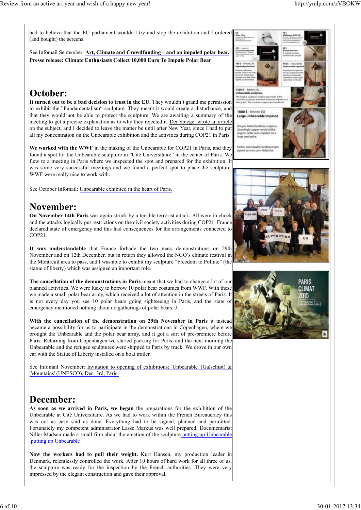had to believe that the EU parliament wouldn't try and stop the exhibition and I ordered (and bought) the screens.

See Infomail September: **Art, Climate and Crowdfunding – and an impaled polar bear. Presse release: Climate Enthusiasts Collect 10,000 Euro To Impale Polar Bear**

## October:

**It turned out to be a bad decision to trust in the EU.** They wouldn't grand me permission to exhibit the "Fundamentalism" sculpture. They meant it would create a disturbance, and that they would not be able to protect the sculpture. We are awaiting a summary of the meeting to get a precise explanation as to why they rejected it. Der Spiegel wrote an article on the subject, and I decided to leave the matter be until after New Year, since I had to put all my concentration on the Unbearable exhibition and the activities during COP21 in Paris.

**We worked with the WWF** in the making of the Unbearable for COP21 in Paris, and they found a spot for the Unbearable sculpture in "Cité Universitaire" in the center of Paris. We flew to a meeting in Paris where we inspected the spot and prepared for the exhibition. It was some very successful meetings and we found a perfect spot to place the sculpture. WWF were really nice to work with.

See October Infomail: Unbearable exhibited in the heart of Paris.

## **November:**

**On November 14th Paris** was again struck by a terrible terrorist attack. All were in chock and the attacks logically put restrictions on the civil society activities during COP21. France declared state of emergency and this had consequences for the arrangements connected to COP21.

**It was understandable** that France forbade the two mass demonstrations on 29th November and on 12th December, but in return they allowed the NGO's climate festival in the Montreuil area to pass, and I was able to exhibit my sculpture "Freedom to Pollute" (the statue of liberty) which was assigned an important role.

**The cancellation of the demonstrations in Paris** meant that we had to change a lot of our planned activities. We were lucky to borrow 10 polar bear costumes from WWF. With these we made a small polar bear army, which received a lot of attention in the streets of Paris. It is not every day you see 10 polar bears going sightseeing in Paris, and the state of emergency mentioned nothing about no gatherings of polar bears. J

**With the cancellation of the demonstration on 29th November in Paris** it instead became a possibility for us to participate in the demonstrations in Copenhagen, where we brought the Unbearable and the polar bear army, and it got a sort of pre-premiere before Paris. Returning from Copenhagen we started packing for Paris, and the next morning the Unbearable and the refugee sculptures were shipped to Paris by truck. We drove in our own car with the Statue of Liberty installed on a boat trailer.

See Infomail November: Invitation to opening of exhibitions; 'Unbearable' (Galschiøt) & 'Mountains' (UNESCO), Dec. 3rd, Paris.

## **December:**

**As soon as we arrived in Paris, we began** the preparations for the exhibition of the Unbearable at Cité Universitaire. As we had to work within the French Bureaucracy this was not as easy said as done. Everything had to be signed, planned and permitted. Fortunately my competent administrator Lasse Markus was well prepared. Documentarist Niller Madsen made a small film about the erection of the sculpture putting up Unbearable .putting up Unbearable .

**Now the workers had to pull their weight.** Kurt Hansen, my production leader in Denmark, relentlessly controlled the work. After 10 hours of hard work for all three of us, the sculpture was ready for the inspection by the French authorities. They were very impressed by the elegant construction and gave their approval.

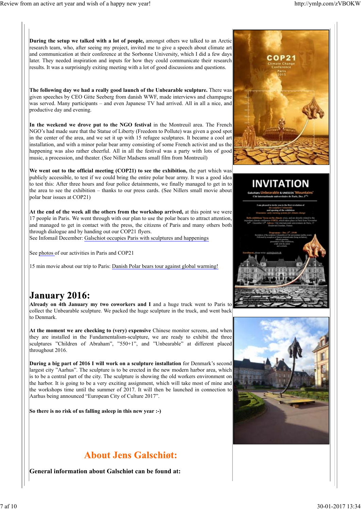**During the setup we talked with a lot of people,** amongst others we talked to an Arctic research team, who, after seeing my project, invited me to give a speech about climate art and communication at their conference at the Sorbonne University, which I did a few days later. They needed inspiration and inputs for how they could communicate their research results. It was a surprisingly exiting meeting with a lot of good discussions and questions.

**The following day we had a really good launch of the Unbearable sculpture.** There was given speeches by CEO Gitte Seeberg from danish WWF, made interviews and champagne was served. Many participants – and even Japanese TV had arrived. All in all a nice, and productive day and evening.

**In the weekend we drove put to the NGO festival** in the Montreuil area. The French NGO's had made sure that the Statue of Liberty (Freedom to Pollute) was given a good spot in the center of the area, and we set it up with 15 refugee sculptures. It became a cool art installation, and with a minor polar bear army consisting of some French activist and us the happening was also rather cheerful. All in all the festival was a party with lots of good music, a procession, and theater. (See Niller Madsens small film from Montreuil)

**We went out to the official meeting (COP21) to see the exhibition,** the part which was publicly accessible, to test if we could bring the entire polar bear army. It was a good idea to test this: After three hours and four police detainments, we finally managed to get in to the area to see the exhibition – thanks to our press cards. (See Nillers small movie about polar bear issues at COP21)

**At the end of the week all the others from the workshop arrived,** at this point we were 17 people in Paris. We went through with our plan to use the polar bears to attract attention, and managed to get in contact with the press, the citizens of Paris and many others both through dialogue and by handing out our COP21 flyers.

See Infomail December: Galschiot occupies Paris with sculptures and happenings

See photos of our activities in Paris and COP21

15 min movie about our trip to Paris: Danish Polar bears tour against global warming!

### **January 2016:**

**Already on 4th January my two coworkers and I** and a huge truck went to Paris to collect the Unbearable sculpture. We packed the huge sculpture in the truck, and went back to Denmark.

**At the moment we are checking to (very) expensive** Chinese monitor screens, and when they are installed in the Fundamentalism-sculpture, we are ready to exhibit the three sculptures "Children of Abraham", "550+1", and "Unbearable" at different placed throughout 2016.

**During a big part of 2016 I will work on a sculpture installation** for Denmark's second largest city "Aarhus". The sculpture is to be erected in the new modern harbor area, which is to be a central part of the city. The sculpture is showing the old workers environment on the harbor. It is going to be a very exciting assignment, which will take most of mine and the workshops time until the summer of 2017. It will then be launched in connection to Aarhus being announced "European City of Culture 2017".

**So there is no risk of us falling asleep in this new year :-)**

## **About Jens Galschigt:**

**General information about Galschiøt can be found at:**





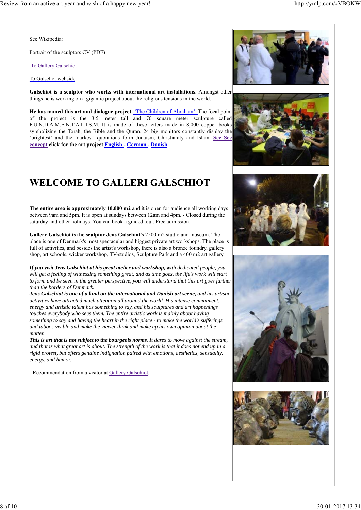See Wikipedia:

Portrait of the sculptors CV (PDF)

To Gallery Galschiot

To Galschot webside

**Galschiøt is a sculptor who works with international art installations**. Amongst other things he is working on a gigantic project about the religious tensions in the world.

**He has named this art and dialogue project** 'The Children of Abraham'. The focal point of the project is the 3.5 meter tall and 70 square meter sculpture called F.U.N.D.A.M.E.N.T.A.L.I.S.M. It is made of these letters made in 8,000 copper books symbolizing the Torah, the Bible and the Quran. 24 big monitors constantly display the 'brightest' and the 'darkest' quotations form Judaism, Christianity and Islam. **See See concept click for the art project English - German - Danish**

# WELCOME TO GALLERI GALSCHIOT

**The entire area is approximately 10.000 m2** and it is open for audience all working days between 9am and 5pm. It is open at sundays between 12am and 4pm. - Closed during the saturday and other holidays. You can book a guided tour. Free admission.

**Gallery Galschiot is the sculptor Jens Galschiot'**s 2500 m2 studio and museum. The place is one of Denmark's most spectacular and biggest private art workshops. The place is full of activities, and besides the artist's workshop, there is also a bronze foundry, gallery shop, art schools, wicker workshop, TV-studios, Sculpture Park and a 400 m2 art gallery.

*If you visit Jens Galschiot at his great atelier and workshop, with dedicated people, you will get a feeling of witnessing something great, and as time goes, the life's work will start to form and be seen in the greater perspective, you will understand that this art goes further than the borders of Denmark.*

*Jens Galschiot is one of a kind on the international and Danish art scene, and his artistic activities have attracted much attention all around the world. His intense commitment, energy and artistic talent has something to say, and his sculptures and art happenings touches everybody who sees them. The entire artistic work is mainly about having something to say and having the heart in the right place - to make the world's sufferings and taboos visible and make the viewer think and make up his own opinion about the matter.*

*This is art that is not subject to the bourgeois norms. It dares to move against the stream, and that is what great art is about. The strength of the work is that it does not end up in a rigid protest, but offers genuine indignation paired with emotions, aesthetics, sensuality, energy, and humor.*

Recommendation from a visitor at Gallery Galschiot.









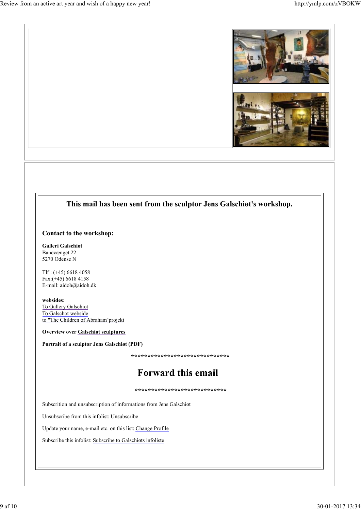



#### **This mail has been sent from the sculptor Jens Galschiøt's workshop.**

#### **Contact to the workshop:**

**Galleri Galschiøt** Banevænget 22 5270 Odense N

Tlf : (+45) 6618 4058 Fax:(+45) 6618 4158 E-mail: aidoh@aidoh.dk

**websides:** To Gallery Galschiot To Galschot webside to "The Children of Abraham'projekt

**Overview over Galschiøt sculptures**

**Portrait of a sculptor Jens Galschiøt (PDF)**

 **\*\*\*\*\*\*\*\*\*\*\*\*\*\*\*\*\*\*\*\*\*\*\*\*\*\*\*\*\*\*** 

## **Forward this email**

**\*\*\*\*\*\*\*\*\*\*\*\*\*\*\*\*\*\*\*\*\*\*\*\*\*\*\*\***

Subscrition and unsubscription of informations from Jens Galschiøt

Unsubscribe from this infolist: Unsubscribe

Update your name, e-mail etc. on this list: Change Profile

Subscribe this infolist: Subscribe to Galschiøts infoliste